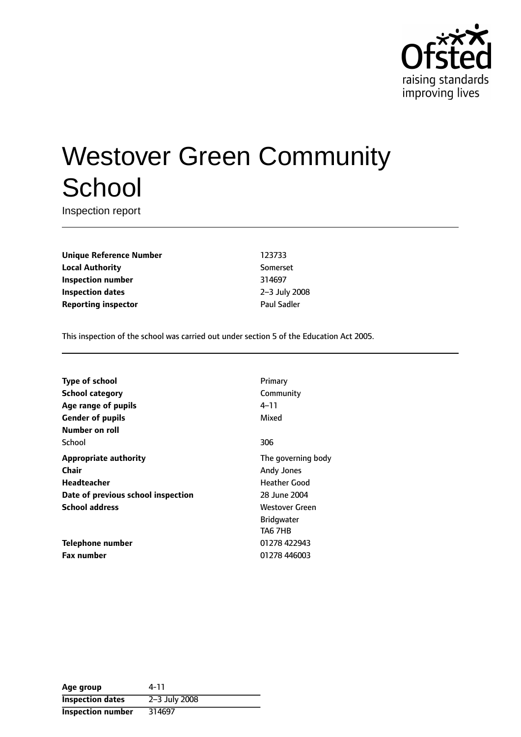

# Westover Green Community **School**

Inspection report

**Unique Reference Number** 123733 **Local Authority** Somerset **Inspection number** 314697 **Inspection dates** 2-3 July 2008 **Reporting inspector CONSERVING PAUL SAMPLE PAUL SAMPLE PAUL SAMPLE PAUL SAMPLE PAUL SAMPLE PAUL SAMPLE PAUL SAMPLE** 

This inspection of the school was carried out under section 5 of the Education Act 2005.

| <b>Type of school</b>              | Primary               |
|------------------------------------|-----------------------|
| <b>School category</b>             | Community             |
| Age range of pupils                | 4–11                  |
| <b>Gender of pupils</b>            | Mixed                 |
| Number on roll                     |                       |
| School                             | 306                   |
| <b>Appropriate authority</b>       | The governing body    |
| Chair                              | Andy Jones            |
| <b>Headteacher</b>                 | <b>Heather Good</b>   |
| Date of previous school inspection | 28 June 2004          |
| <b>School address</b>              | <b>Westover Green</b> |
|                                    | <b>Bridgwater</b>     |
|                                    | TA6 7HB               |
| Telephone number                   | 01278 422943          |
| <b>Fax number</b>                  | 01278 446003          |

| Age group                | 4-11          |
|--------------------------|---------------|
| <b>Inspection dates</b>  | 2-3 July 2008 |
| <b>Inspection number</b> | 314697        |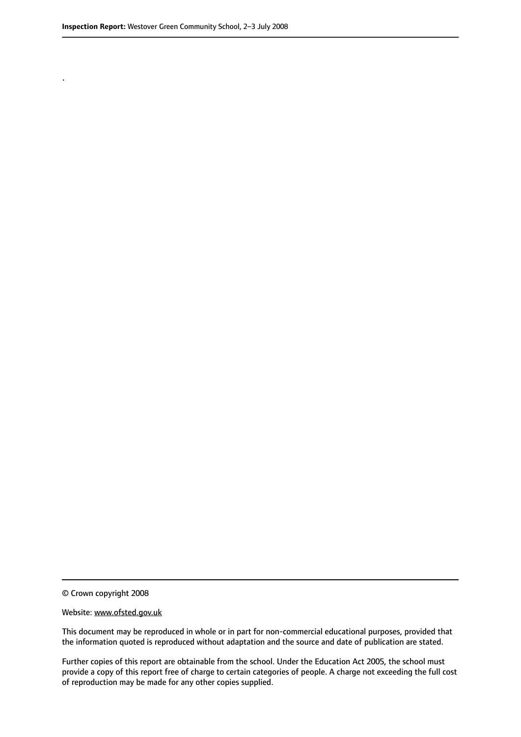.

© Crown copyright 2008

#### Website: www.ofsted.gov.uk

This document may be reproduced in whole or in part for non-commercial educational purposes, provided that the information quoted is reproduced without adaptation and the source and date of publication are stated.

Further copies of this report are obtainable from the school. Under the Education Act 2005, the school must provide a copy of this report free of charge to certain categories of people. A charge not exceeding the full cost of reproduction may be made for any other copies supplied.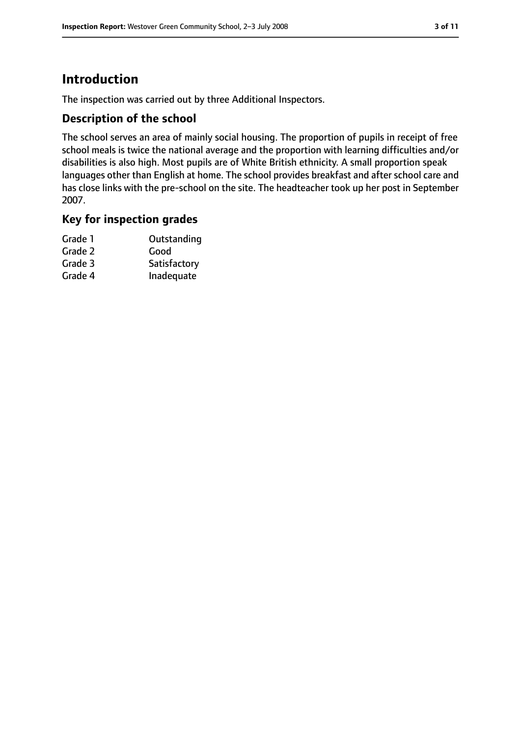## **Introduction**

The inspection was carried out by three Additional Inspectors.

#### **Description of the school**

The school serves an area of mainly social housing. The proportion of pupils in receipt of free school meals is twice the national average and the proportion with learning difficulties and/or disabilities is also high. Most pupils are of White British ethnicity. A small proportion speak languages other than English at home. The school provides breakfast and after school care and has close links with the pre-school on the site. The headteacher took up her post in September 2007.

#### **Key for inspection grades**

| Grade 1 | Outstanding  |
|---------|--------------|
| Grade 2 | Good         |
| Grade 3 | Satisfactory |
| Grade 4 | Inadequate   |
|         |              |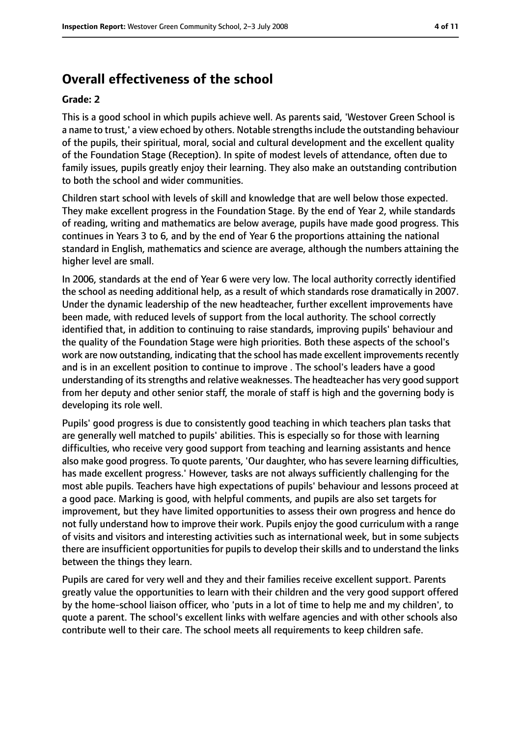## **Overall effectiveness of the school**

#### **Grade: 2**

This is a good school in which pupils achieve well. As parents said, 'Westover Green School is a name to trust,' a view echoed by others. Notable strengths include the outstanding behaviour of the pupils, their spiritual, moral, social and cultural development and the excellent quality of the Foundation Stage (Reception). In spite of modest levels of attendance, often due to family issues, pupils greatly enjoy their learning. They also make an outstanding contribution to both the school and wider communities.

Children start school with levels of skill and knowledge that are well below those expected. They make excellent progress in the Foundation Stage. By the end of Year 2, while standards of reading, writing and mathematics are below average, pupils have made good progress. This continues in Years 3 to 6, and by the end of Year 6 the proportions attaining the national standard in English, mathematics and science are average, although the numbers attaining the higher level are small.

In 2006, standards at the end of Year 6 were very low. The local authority correctly identified the school as needing additional help, as a result of which standards rose dramatically in 2007. Under the dynamic leadership of the new headteacher, further excellent improvements have been made, with reduced levels of support from the local authority. The school correctly identified that, in addition to continuing to raise standards, improving pupils' behaviour and the quality of the Foundation Stage were high priorities. Both these aspects of the school's work are now outstanding, indicating that the school has made excellent improvements recently and is in an excellent position to continue to improve . The school's leaders have a good understanding of itsstrengths and relative weaknesses. The headteacher has very good support from her deputy and other senior staff, the morale of staff is high and the governing body is developing its role well.

Pupils' good progress is due to consistently good teaching in which teachers plan tasks that are generally well matched to pupils' abilities. This is especially so for those with learning difficulties, who receive very good support from teaching and learning assistants and hence also make good progress. To quote parents, 'Our daughter, who has severe learning difficulties, has made excellent progress.' However, tasks are not always sufficiently challenging for the most able pupils. Teachers have high expectations of pupils' behaviour and lessons proceed at a good pace. Marking is good, with helpful comments, and pupils are also set targets for improvement, but they have limited opportunities to assess their own progress and hence do not fully understand how to improve their work. Pupils enjoy the good curriculum with a range of visits and visitors and interesting activities such as international week, but in some subjects there are insufficient opportunities for pupils to develop their skills and to understand the links between the things they learn.

Pupils are cared for very well and they and their families receive excellent support. Parents greatly value the opportunities to learn with their children and the very good support offered by the home-school liaison officer, who 'puts in a lot of time to help me and my children', to quote a parent. The school's excellent links with welfare agencies and with other schools also contribute well to their care. The school meets all requirements to keep children safe.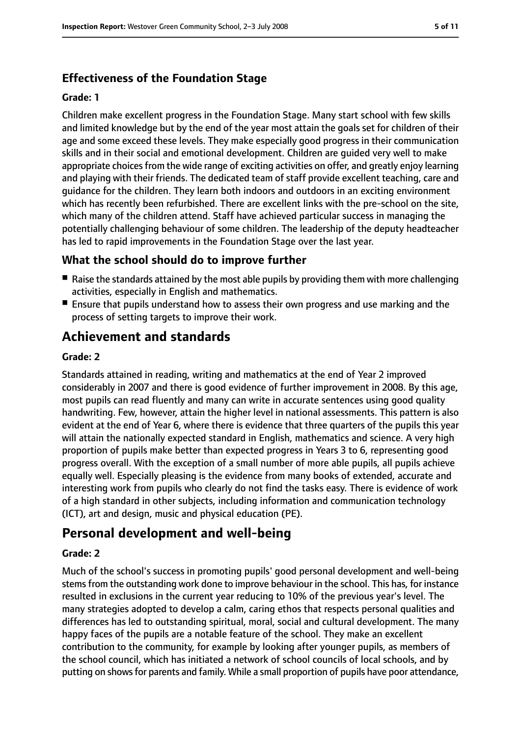## **Effectiveness of the Foundation Stage**

#### **Grade: 1**

Children make excellent progress in the Foundation Stage. Many start school with few skills and limited knowledge but by the end of the year most attain the goals set for children of their age and some exceed these levels. They make especially good progress in their communication skills and in their social and emotional development. Children are guided very well to make appropriate choices from the wide range of exciting activities on offer, and greatly enjoy learning and playing with their friends. The dedicated team of staff provide excellent teaching, care and guidance for the children. They learn both indoors and outdoors in an exciting environment which has recently been refurbished. There are excellent links with the pre-school on the site, which many of the children attend. Staff have achieved particular success in managing the potentially challenging behaviour of some children. The leadership of the deputy headteacher has led to rapid improvements in the Foundation Stage over the last year.

#### **What the school should do to improve further**

- Raise the standards attained by the most able pupils by providing them with more challenging activities, especially in English and mathematics.
- Ensure that pupils understand how to assess their own progress and use marking and the process of setting targets to improve their work.

## **Achievement and standards**

#### **Grade: 2**

Standards attained in reading, writing and mathematics at the end of Year 2 improved considerably in 2007 and there is good evidence of further improvement in 2008. By this age, most pupils can read fluently and many can write in accurate sentences using good quality handwriting. Few, however, attain the higher level in national assessments. This pattern is also evident at the end of Year 6, where there is evidence that three quarters of the pupils this year will attain the nationally expected standard in English, mathematics and science. A very high proportion of pupils make better than expected progress in Years 3 to 6, representing good progress overall. With the exception of a small number of more able pupils, all pupils achieve equally well. Especially pleasing is the evidence from many books of extended, accurate and interesting work from pupils who clearly do not find the tasks easy. There is evidence of work of a high standard in other subjects, including information and communication technology (ICT), art and design, music and physical education (PE).

## **Personal development and well-being**

#### **Grade: 2**

Much of the school's success in promoting pupils' good personal development and well-being stemsfrom the outstanding work done to improve behaviour in the school. This has, for instance resulted in exclusions in the current year reducing to 10% of the previous year's level. The many strategies adopted to develop a calm, caring ethos that respects personal qualities and differences has led to outstanding spiritual, moral, social and cultural development. The many happy faces of the pupils are a notable feature of the school. They make an excellent contribution to the community, for example by looking after younger pupils, as members of the school council, which has initiated a network of school councils of local schools, and by putting on shows for parents and family. While a small proportion of pupils have poor attendance,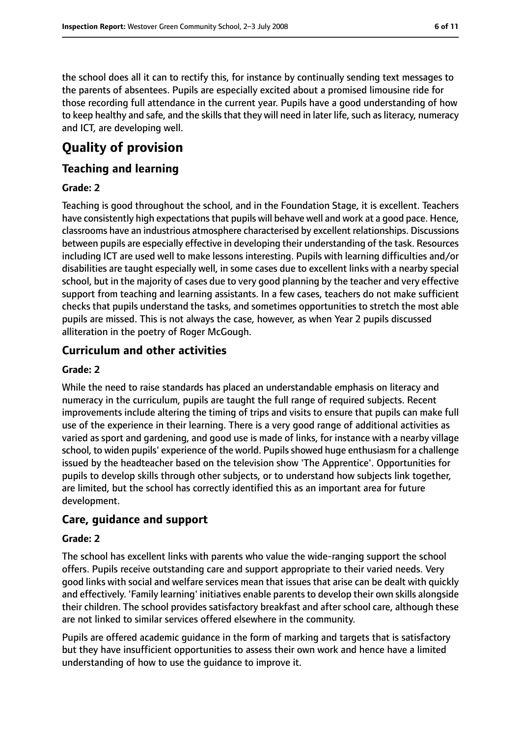the school does all it can to rectify this, for instance by continually sending text messages to the parents of absentees. Pupils are especially excited about a promised limousine ride for those recording full attendance in the current year. Pupils have a good understanding of how to keep healthy and safe, and the skills that they will need in later life, such as literacy, numeracy and ICT, are developing well.

# **Quality of provision**

#### **Teaching and learning**

#### **Grade: 2**

Teaching is good throughout the school, and in the Foundation Stage, it is excellent. Teachers have consistently high expectations that pupils will behave well and work at a good pace. Hence, classrooms have an industrious atmosphere characterised by excellent relationships. Discussions between pupils are especially effective in developing their understanding of the task. Resources including ICT are used well to make lessons interesting. Pupils with learning difficulties and/or disabilities are taught especially well, in some cases due to excellent links with a nearby special school, but in the majority of cases due to very good planning by the teacher and very effective support from teaching and learning assistants. In a few cases, teachers do not make sufficient checks that pupils understand the tasks, and sometimes opportunities to stretch the most able pupils are missed. This is not always the case, however, as when Year 2 pupils discussed alliteration in the poetry of Roger McGough.

#### **Curriculum and other activities**

#### **Grade: 2**

While the need to raise standards has placed an understandable emphasis on literacy and numeracy in the curriculum, pupils are taught the full range of required subjects. Recent improvements include altering the timing of trips and visits to ensure that pupils can make full use of the experience in their learning. There is a very good range of additional activities as varied as sport and gardening, and good use is made of links, for instance with a nearby village school, to widen pupils' experience of the world. Pupils showed huge enthusiasm for a challenge issued by the headteacher based on the television show 'The Apprentice'. Opportunities for pupils to develop skills through other subjects, or to understand how subjects link together, are limited, but the school has correctly identified this as an important area for future development.

#### **Care, guidance and support**

#### **Grade: 2**

The school has excellent links with parents who value the wide-ranging support the school offers. Pupils receive outstanding care and support appropriate to their varied needs. Very good links with social and welfare services mean that issues that arise can be dealt with quickly and effectively. 'Family learning' initiatives enable parents to develop their own skills alongside their children. The school provides satisfactory breakfast and after school care, although these are not linked to similar services offered elsewhere in the community.

Pupils are offered academic guidance in the form of marking and targets that is satisfactory but they have insufficient opportunities to assess their own work and hence have a limited understanding of how to use the guidance to improve it.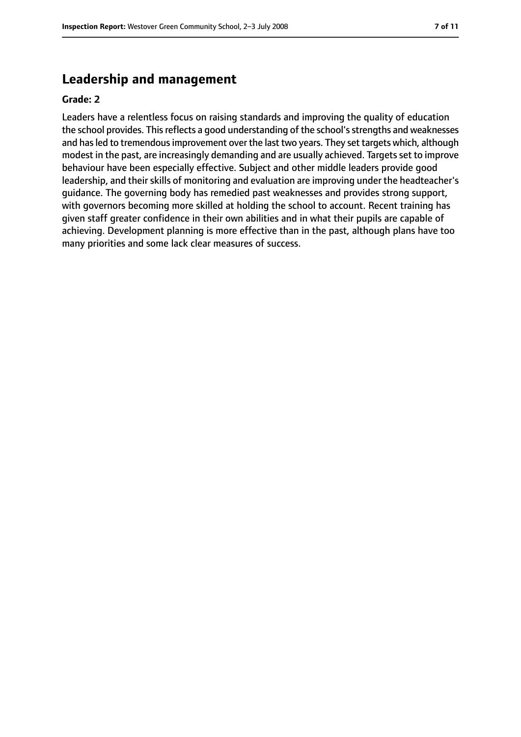### **Leadership and management**

#### **Grade: 2**

Leaders have a relentless focus on raising standards and improving the quality of education the school provides. This reflects a good understanding of the school's strengths and weaknesses and has led to tremendous improvement over the last two years. They set targets which, although modest in the past, are increasingly demanding and are usually achieved. Targets set to improve behaviour have been especially effective. Subject and other middle leaders provide good leadership, and their skills of monitoring and evaluation are improving under the headteacher's guidance. The governing body has remedied past weaknesses and provides strong support, with governors becoming more skilled at holding the school to account. Recent training has given staff greater confidence in their own abilities and in what their pupils are capable of achieving. Development planning is more effective than in the past, although plans have too many priorities and some lack clear measures of success.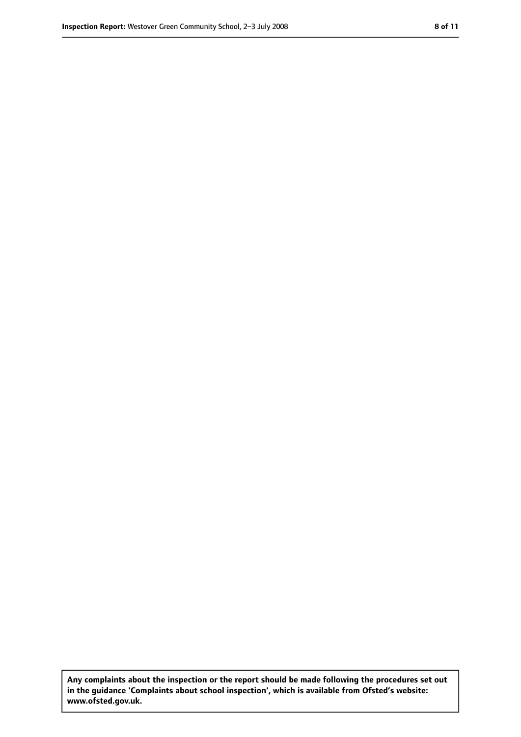**Any complaints about the inspection or the report should be made following the procedures set out in the guidance 'Complaints about school inspection', which is available from Ofsted's website: www.ofsted.gov.uk.**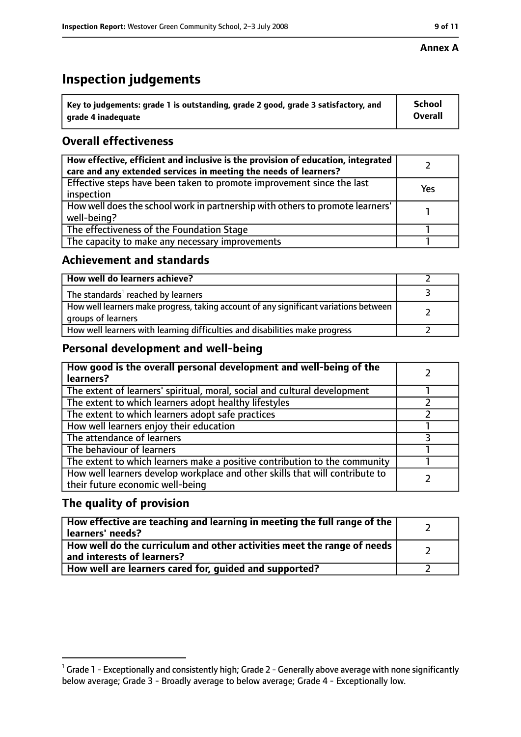# **Inspection judgements**

| $^{\backprime}$ Key to judgements: grade 1 is outstanding, grade 2 good, grade 3 satisfactory, and | <b>School</b>  |
|----------------------------------------------------------------------------------------------------|----------------|
| arade 4 inadequate                                                                                 | <b>Overall</b> |

### **Overall effectiveness**

| How effective, efficient and inclusive is the provision of education, integrated<br>care and any extended services in meeting the needs of learners? |     |
|------------------------------------------------------------------------------------------------------------------------------------------------------|-----|
| Effective steps have been taken to promote improvement since the last<br>inspection                                                                  | Yes |
| How well does the school work in partnership with others to promote learners'<br>well-being?                                                         |     |
| The effectiveness of the Foundation Stage                                                                                                            |     |
| The capacity to make any necessary improvements                                                                                                      |     |

#### **Achievement and standards**

| How well do learners achieve?                                                                               |  |
|-------------------------------------------------------------------------------------------------------------|--|
| The standards <sup>1</sup> reached by learners                                                              |  |
| How well learners make progress, taking account of any significant variations between<br>groups of learners |  |
| How well learners with learning difficulties and disabilities make progress                                 |  |

#### **Personal development and well-being**

| How good is the overall personal development and well-being of the<br>learners?                                  |  |
|------------------------------------------------------------------------------------------------------------------|--|
| The extent of learners' spiritual, moral, social and cultural development                                        |  |
| The extent to which learners adopt healthy lifestyles                                                            |  |
| The extent to which learners adopt safe practices                                                                |  |
| How well learners enjoy their education                                                                          |  |
| The attendance of learners                                                                                       |  |
| The behaviour of learners                                                                                        |  |
| The extent to which learners make a positive contribution to the community                                       |  |
| How well learners develop workplace and other skills that will contribute to<br>their future economic well-being |  |

#### **The quality of provision**

| How effective are teaching and learning in meeting the full range of the<br>learners' needs?          |  |
|-------------------------------------------------------------------------------------------------------|--|
| How well do the curriculum and other activities meet the range of needs<br>and interests of learners? |  |
| How well are learners cared for, quided and supported?                                                |  |

 $^1$  Grade 1 - Exceptionally and consistently high; Grade 2 - Generally above average with none significantly below average; Grade 3 - Broadly average to below average; Grade 4 - Exceptionally low.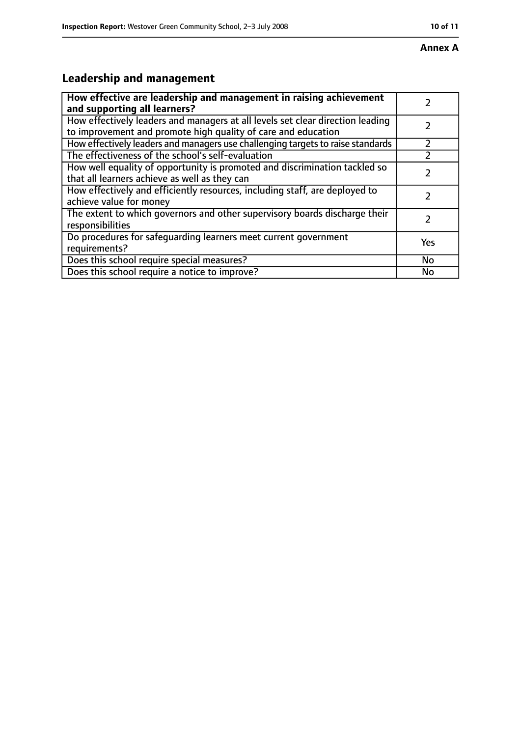# **Leadership and management**

| How effective are leadership and management in raising achievement<br>and supporting all learners?                                              |     |
|-------------------------------------------------------------------------------------------------------------------------------------------------|-----|
| How effectively leaders and managers at all levels set clear direction leading<br>to improvement and promote high quality of care and education |     |
| How effectively leaders and managers use challenging targets to raise standards                                                                 |     |
| The effectiveness of the school's self-evaluation                                                                                               |     |
| How well equality of opportunity is promoted and discrimination tackled so<br>that all learners achieve as well as they can                     |     |
| How effectively and efficiently resources, including staff, are deployed to<br>achieve value for money                                          |     |
| The extent to which governors and other supervisory boards discharge their<br>responsibilities                                                  |     |
| Do procedures for safequarding learners meet current government<br>requirements?                                                                | Yes |
| Does this school require special measures?                                                                                                      | No  |
| Does this school require a notice to improve?                                                                                                   | No  |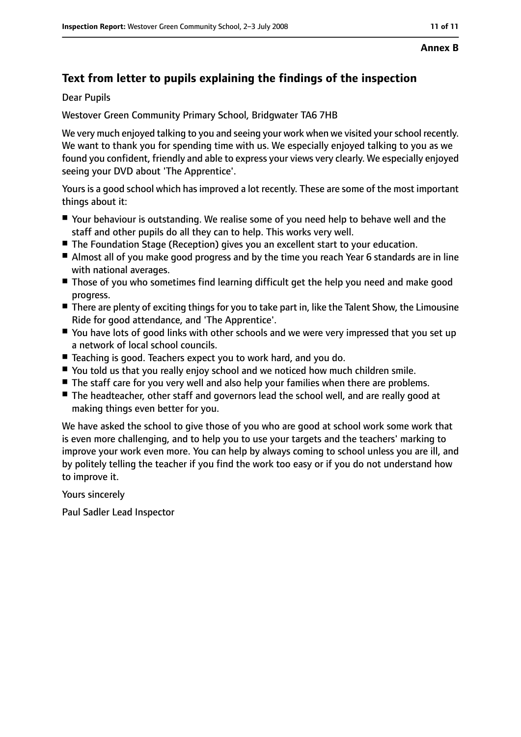## **Text from letter to pupils explaining the findings of the inspection**

Dear Pupils

Westover Green Community Primary School, Bridgwater TA6 7HB

We very much enjoyed talking to you and seeing your work when we visited your school recently. We want to thank you for spending time with us. We especially enjoyed talking to you as we found you confident, friendly and able to express your views very clearly. We especially enjoyed seeing your DVD about 'The Apprentice'.

Yours is a good school which has improved a lot recently. These are some of the most important things about it:

- Your behaviour is outstanding. We realise some of you need help to behave well and the staff and other pupils do all they can to help. This works very well.
- The Foundation Stage (Reception) gives you an excellent start to your education.
- Almost all of you make good progress and by the time you reach Year 6 standards are in line with national averages.
- Those of you who sometimes find learning difficult get the help you need and make good progress.
- There are plenty of exciting things for you to take part in, like the Talent Show, the Limousine Ride for good attendance, and 'The Apprentice'.
- You have lots of good links with other schools and we were very impressed that you set up a network of local school councils.
- Teaching is good. Teachers expect you to work hard, and you do.
- You told us that you really enjoy school and we noticed how much children smile.
- The staff care for you very well and also help your families when there are problems.
- The headteacher, other staff and governors lead the school well, and are really good at making things even better for you.

We have asked the school to give those of you who are good at school work some work that is even more challenging, and to help you to use your targets and the teachers' marking to improve your work even more. You can help by always coming to school unless you are ill, and by politely telling the teacher if you find the work too easy or if you do not understand how to improve it.

Yours sincerely

Paul Sadler Lead Inspector